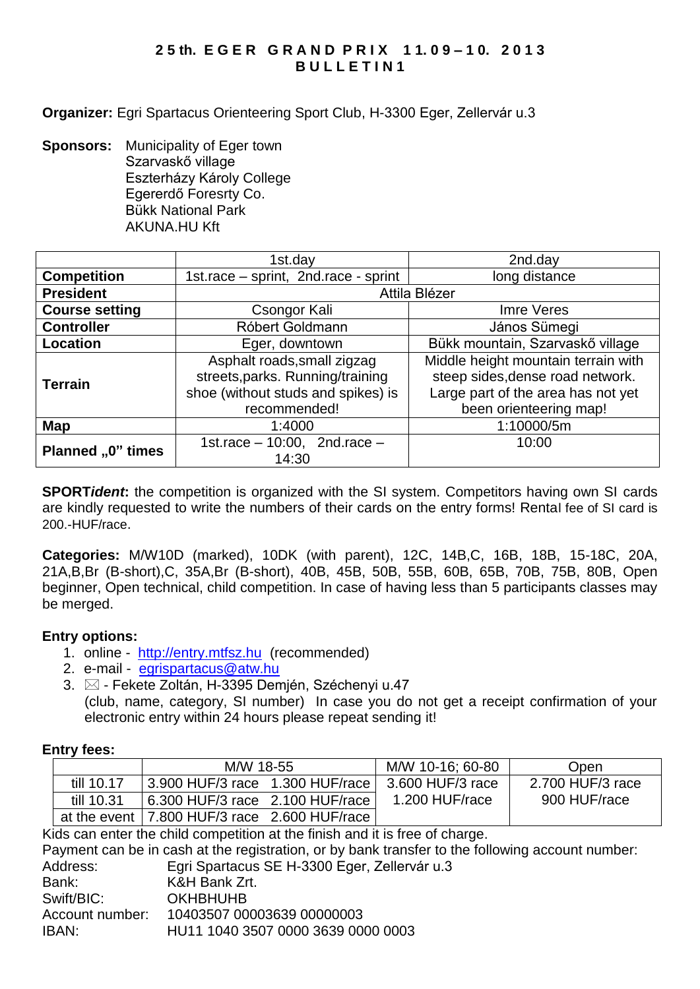# **2 5 th. E G E R G R A N D P R I X 1 1. 0 9 – 1 0. 2 0 1 3 B U L L E T I N 1**

**Organizer:** Egri Spartacus Orienteering Sport Club, H-3300 Eger, Zellervár u.3

**Sponsors:** Municipality of Eger town Szarvaskő village Eszterházy Károly College Egererdő Foresrty Co. Bükk National Park AKUNA.HU Kft

|                       | 1st.day                              | 2nd.day                             |  |  |
|-----------------------|--------------------------------------|-------------------------------------|--|--|
| <b>Competition</b>    | 1st.race - sprint, 2nd.race - sprint | long distance                       |  |  |
| <b>President</b>      | Attila Blézer                        |                                     |  |  |
| <b>Course setting</b> | Csongor Kali                         | Imre Veres                          |  |  |
| <b>Controller</b>     | Róbert Goldmann                      | János Sümegi                        |  |  |
| <b>Location</b>       | Eger, downtown                       | Bükk mountain, Szarvaskő village    |  |  |
| <b>Terrain</b>        | Asphalt roads, small zigzag          | Middle height mountain terrain with |  |  |
|                       | streets, parks. Running/training     | steep sides, dense road network.    |  |  |
|                       | shoe (without studs and spikes) is   | Large part of the area has not yet  |  |  |
|                       | recommended!                         | been orienteering map!              |  |  |
| Map                   | 1:4000                               | 1:10000/5m                          |  |  |
| Planned "0" times     | 1st.race $-10:00$ , 2nd.race $-$     | 10:00                               |  |  |
|                       | 14:30                                |                                     |  |  |

**SPORT***ident*: the competition is organized with the SI system. Competitors having own SI cards are kindly requested to write the numbers of their cards on the entry forms! Rental fee of SI card is 200.-HUF/race.

**Categories:** M/W10D (marked), 10DK (with parent), 12C, 14B,C, 16B, 18B, 15-18C, 20A, 21A,B,Br (B-short),C, 35A,Br (B-short), 40B, 45B, 50B, 55B, 60B, 65B, 70B, 75B, 80B, Open beginner, Open technical, child competition. In case of having less than 5 participants classes may be merged.

# **Entry options:**

- 1. online [http://entry.mtfsz.hu](http://entry.mtfsz.hu/) (recommended)
- 2. e-mail [egrispartacus@atw.hu](mailto:egrispartacus@atw.hu)
- 3.  $\boxtimes$  Fekete Zoltán, H-3395 Demjén, Széchenyi u.47 (club, name, category, SI number) In case you do not get a receipt confirmation of your electronic entry within 24 hours please repeat sending it!

#### **Entry fees:**

|            | M/W 18-55                                      |  | M/W 10-16: 60-80 | Open             |
|------------|------------------------------------------------|--|------------------|------------------|
| till 10.17 | 3.900 HUF/3 race 1.300 HUF/race                |  | 3.600 HUF/3 race | 2.700 HUF/3 race |
| till 10.31 | 6.300 HUF/3 race 2.100 HUF/race                |  | 1.200 HUF/race   | 900 HUF/race     |
|            | at the event   7.800 HUF/3 race 2.600 HUF/race |  |                  |                  |

Kids can enter the child competition at the finish and it is free of charge.

Payment can be in cash at the registration, or by bank transfer to the following account number: Address: Egri Spartacus SE H-3300 Eger, Zellervár u.3 Bank: K&H Bank Zrt. Swift/BIC: OKHBHUHB Account number: 10403507 00003639 00000003 IBAN: HU11 1040 3507 0000 3639 0000 0003